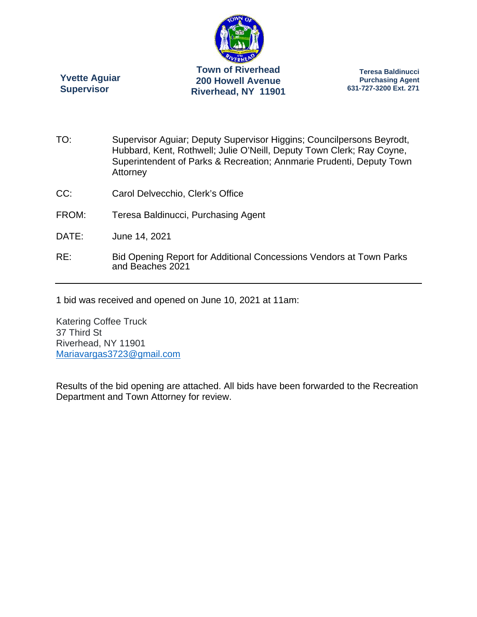

**Yvette Aguiar Supervisor** 

**Teresa Baldinucci Purchasing Agent 631-727-3200 Ext. 271** 

- TO: Supervisor Aguiar; Deputy Supervisor Higgins; Councilpersons Beyrodt, Hubbard, Kent, Rothwell; Julie O'Neill, Deputy Town Clerk; Ray Coyne, Superintendent of Parks & Recreation; Annmarie Prudenti, Deputy Town **Attorney**
- CC: Carol Delvecchio, Clerk's Office
- FROM: Teresa Baldinucci, Purchasing Agent
- DATE: June 14, 2021
- RE: Bid Opening Report for Additional Concessions Vendors at Town Parks and Beaches 2021

1 bid was received and opened on June 10, 2021 at 11am:

Katering Coffee Truck 37 Third St Riverhead, NY 11901 Mariavargas3723@gmail.com

Results of the bid opening are attached. All bids have been forwarded to the Recreation Department and Town Attorney for review.